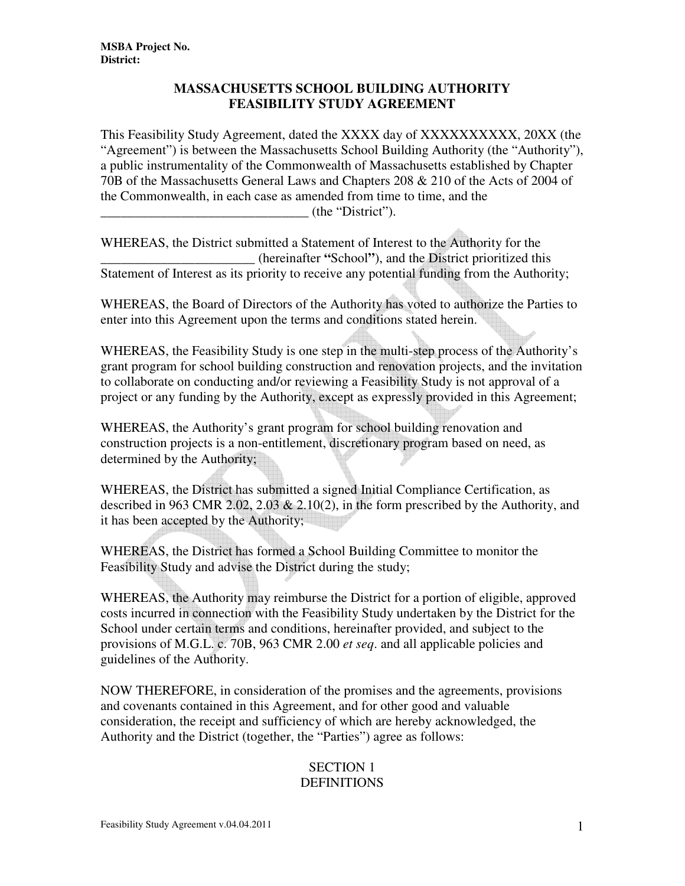### **MASSACHUSETTS SCHOOL BUILDING AUTHORITY FEASIBILITY STUDY AGREEMENT**

This Feasibility Study Agreement, dated the XXXX day of XXXXXXXXXX, 20XX (the "Agreement") is between the Massachusetts School Building Authority (the "Authority"), a public instrumentality of the Commonwealth of Massachusetts established by Chapter 70B of the Massachusetts General Laws and Chapters 208 & 210 of the Acts of 2004 of the Commonwealth, in each case as amended from time to time, and the \_\_\_\_\_\_\_\_\_\_\_\_\_\_\_\_\_\_\_\_\_\_\_\_\_\_\_\_\_\_\_ (the "District").

WHEREAS, the District submitted a Statement of Interest to the Authority for the \_\_\_\_\_\_\_\_\_\_\_\_\_\_\_\_\_\_\_\_\_\_\_ (hereinafter **"**School**"**), and the District prioritized this Statement of Interest as its priority to receive any potential funding from the Authority;

WHEREAS, the Board of Directors of the Authority has voted to authorize the Parties to enter into this Agreement upon the terms and conditions stated herein.

WHEREAS, the Feasibility Study is one step in the multi-step process of the Authority's grant program for school building construction and renovation projects, and the invitation to collaborate on conducting and/or reviewing a Feasibility Study is not approval of a project or any funding by the Authority, except as expressly provided in this Agreement;

WHEREAS, the Authority's grant program for school building renovation and construction projects is a non-entitlement, discretionary program based on need, as determined by the Authority;

WHEREAS, the District has submitted a signed Initial Compliance Certification, as described in 963 CMR 2.02, 2.03  $\&$  2.10(2), in the form prescribed by the Authority, and it has been accepted by the Authority;

WHEREAS, the District has formed a School Building Committee to monitor the Feasibility Study and advise the District during the study;

WHEREAS, the Authority may reimburse the District for a portion of eligible, approved costs incurred in connection with the Feasibility Study undertaken by the District for the School under certain terms and conditions, hereinafter provided, and subject to the provisions of M.G.L. c. 70B, 963 CMR 2.00 *et seq*. and all applicable policies and guidelines of the Authority.

NOW THEREFORE, in consideration of the promises and the agreements, provisions and covenants contained in this Agreement, and for other good and valuable consideration, the receipt and sufficiency of which are hereby acknowledged, the Authority and the District (together, the "Parties") agree as follows:

#### SECTION 1 **DEFINITIONS**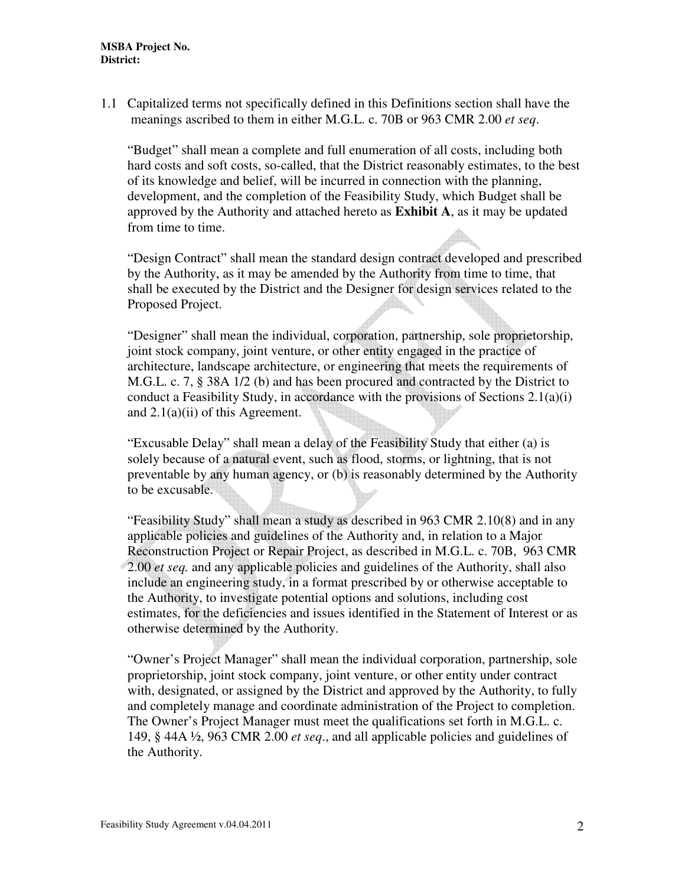1.1 Capitalized terms not specifically defined in this Definitions section shall have the meanings ascribed to them in either M.G.L. c. 70B or 963 CMR 2.00 *et seq*.

"Budget" shall mean a complete and full enumeration of all costs, including both hard costs and soft costs, so-called, that the District reasonably estimates, to the best of its knowledge and belief, will be incurred in connection with the planning, development, and the completion of the Feasibility Study, which Budget shall be approved by the Authority and attached hereto as **Exhibit A**, as it may be updated from time to time.

"Design Contract" shall mean the standard design contract developed and prescribed by the Authority, as it may be amended by the Authority from time to time, that shall be executed by the District and the Designer for design services related to the Proposed Project.

"Designer" shall mean the individual, corporation, partnership, sole proprietorship, joint stock company, joint venture, or other entity engaged in the practice of architecture, landscape architecture, or engineering that meets the requirements of M.G.L. c. 7, § 38A 1/2 (b) and has been procured and contracted by the District to conduct a Feasibility Study, in accordance with the provisions of Sections 2.1(a)(i) and 2.1(a)(ii) of this Agreement.

"Excusable Delay" shall mean a delay of the Feasibility Study that either (a) is solely because of a natural event, such as flood, storms, or lightning, that is not preventable by any human agency, or (b) is reasonably determined by the Authority to be excusable.

"Feasibility Study" shall mean a study as described in 963 CMR 2.10(8) and in any applicable policies and guidelines of the Authority and, in relation to a Major Reconstruction Project or Repair Project, as described in M.G.L. c. 70B, 963 CMR 2.00 *et seq.* and any applicable policies and guidelines of the Authority, shall also include an engineering study, in a format prescribed by or otherwise acceptable to the Authority, to investigate potential options and solutions, including cost estimates, for the deficiencies and issues identified in the Statement of Interest or as otherwise determined by the Authority.

"Owner's Project Manager" shall mean the individual corporation, partnership, sole proprietorship, joint stock company, joint venture, or other entity under contract with, designated, or assigned by the District and approved by the Authority, to fully and completely manage and coordinate administration of the Project to completion. The Owner's Project Manager must meet the qualifications set forth in M.G.L. c. 149, § 44A ½, 963 CMR 2.00 *et seq*., and all applicable policies and guidelines of the Authority.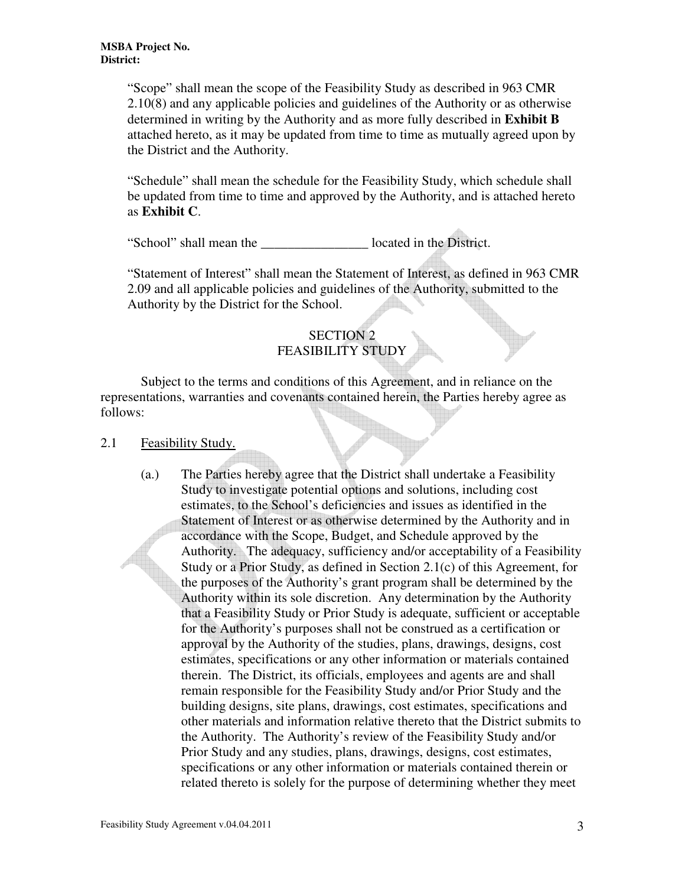"Scope" shall mean the scope of the Feasibility Study as described in 963 CMR 2.10(8) and any applicable policies and guidelines of the Authority or as otherwise determined in writing by the Authority and as more fully described in **Exhibit B** attached hereto, as it may be updated from time to time as mutually agreed upon by the District and the Authority.

"Schedule" shall mean the schedule for the Feasibility Study, which schedule shall be updated from time to time and approved by the Authority, and is attached hereto as **Exhibit C**.

"School" shall mean the \_\_\_\_\_\_\_\_\_\_\_\_\_\_\_\_ located in the District.

"Statement of Interest" shall mean the Statement of Interest, as defined in 963 CMR 2.09 and all applicable policies and guidelines of the Authority, submitted to the Authority by the District for the School.

# SECTION 2 FEASIBILITY STUDY

Subject to the terms and conditions of this Agreement, and in reliance on the representations, warranties and covenants contained herein, the Parties hereby agree as follows:

#### 2.1 Feasibility Study.

(a.) The Parties hereby agree that the District shall undertake a Feasibility Study to investigate potential options and solutions, including cost estimates, to the School's deficiencies and issues as identified in the Statement of Interest or as otherwise determined by the Authority and in accordance with the Scope, Budget, and Schedule approved by the Authority. The adequacy, sufficiency and/or acceptability of a Feasibility Study or a Prior Study, as defined in Section 2.1(c) of this Agreement, for the purposes of the Authority's grant program shall be determined by the Authority within its sole discretion. Any determination by the Authority that a Feasibility Study or Prior Study is adequate, sufficient or acceptable for the Authority's purposes shall not be construed as a certification or approval by the Authority of the studies, plans, drawings, designs, cost estimates, specifications or any other information or materials contained therein. The District, its officials, employees and agents are and shall remain responsible for the Feasibility Study and/or Prior Study and the building designs, site plans, drawings, cost estimates, specifications and other materials and information relative thereto that the District submits to the Authority. The Authority's review of the Feasibility Study and/or Prior Study and any studies, plans, drawings, designs, cost estimates, specifications or any other information or materials contained therein or related thereto is solely for the purpose of determining whether they meet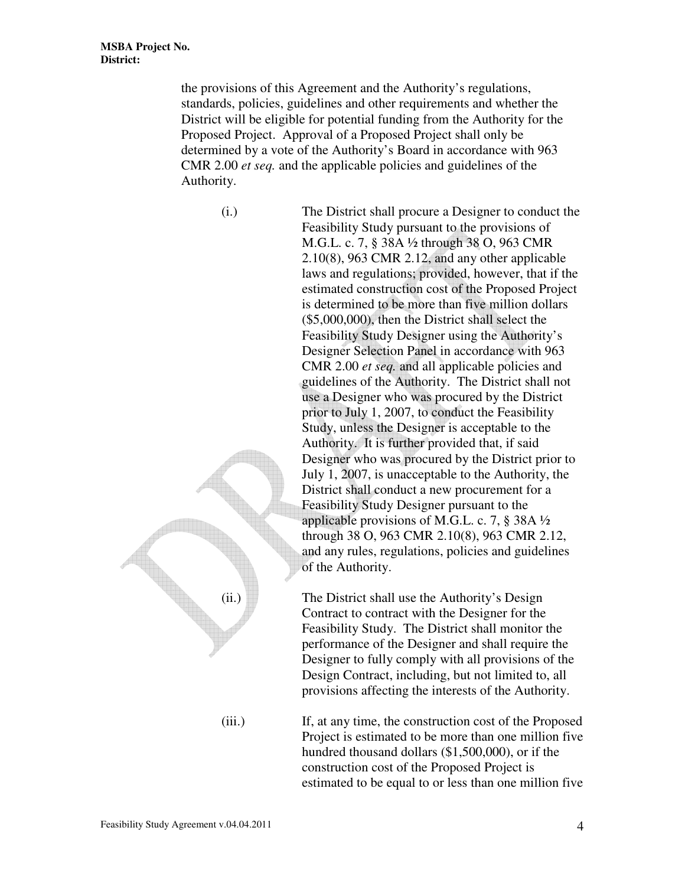the provisions of this Agreement and the Authority's regulations, standards, policies, guidelines and other requirements and whether the District will be eligible for potential funding from the Authority for the Proposed Project. Approval of a Proposed Project shall only be determined by a vote of the Authority's Board in accordance with 963 CMR 2.00 *et seq.* and the applicable policies and guidelines of the Authority.

(i.) The District shall procure a Designer to conduct the Feasibility Study pursuant to the provisions of M.G.L. c. 7, § 38A ½ through 38 O, 963 CMR 2.10(8), 963 CMR 2.12, and any other applicable laws and regulations; provided, however, that if the estimated construction cost of the Proposed Project is determined to be more than five million dollars (\$5,000,000), then the District shall select the Feasibility Study Designer using the Authority's Designer Selection Panel in accordance with 963 CMR 2.00 *et seq.* and all applicable policies and guidelines of the Authority. The District shall not use a Designer who was procured by the District prior to July 1, 2007, to conduct the Feasibility Study, unless the Designer is acceptable to the Authority. It is further provided that, if said Designer who was procured by the District prior to July 1, 2007, is unacceptable to the Authority, the District shall conduct a new procurement for a Feasibility Study Designer pursuant to the applicable provisions of M.G.L. c. 7, § 38A ½ through 38 O, 963 CMR 2.10(8), 963 CMR 2.12, and any rules, regulations, policies and guidelines of the Authority.

 $(iii.)$  The District shall use the Authority's Design Contract to contract with the Designer for the Feasibility Study. The District shall monitor the performance of the Designer and shall require the Designer to fully comply with all provisions of the Design Contract, including, but not limited to, all provisions affecting the interests of the Authority.

(iii.) If, at any time, the construction cost of the Proposed Project is estimated to be more than one million five hundred thousand dollars (\$1,500,000), or if the construction cost of the Proposed Project is estimated to be equal to or less than one million five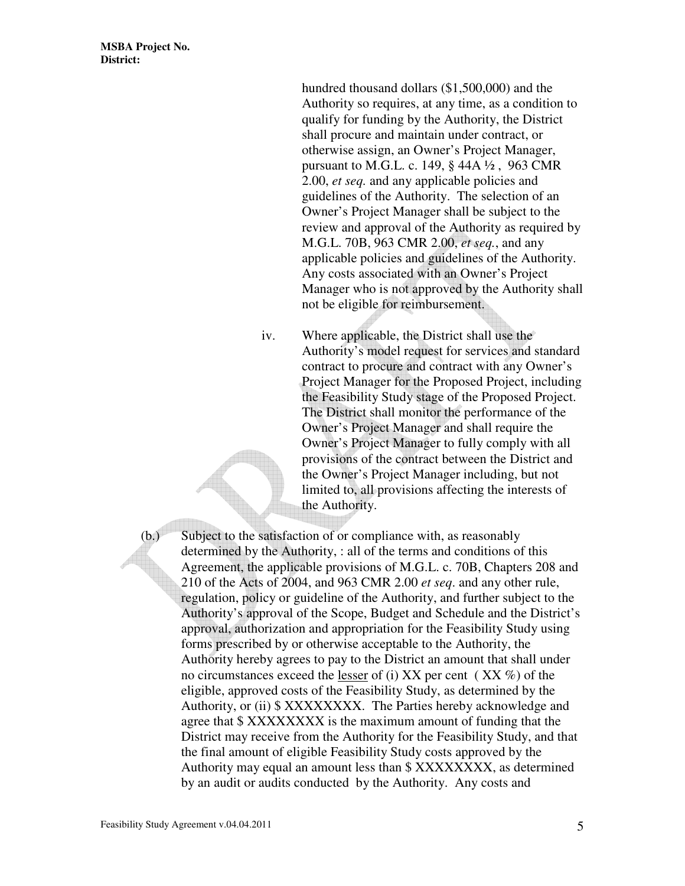hundred thousand dollars (\$1,500,000) and the Authority so requires, at any time, as a condition to qualify for funding by the Authority, the District shall procure and maintain under contract, or otherwise assign, an Owner's Project Manager, pursuant to M.G.L. c. 149, § 44A ½ , 963 CMR 2.00, *et seq.* and any applicable policies and guidelines of the Authority. The selection of an Owner's Project Manager shall be subject to the review and approval of the Authority as required by M.G.L. 70B, 963 CMR 2.00, *et seq.*, and any applicable policies and guidelines of the Authority. Any costs associated with an Owner's Project Manager who is not approved by the Authority shall not be eligible for reimbursement.

iv. Where applicable, the District shall use the Authority's model request for services and standard contract to procure and contract with any Owner's Project Manager for the Proposed Project, including the Feasibility Study stage of the Proposed Project. The District shall monitor the performance of the Owner's Project Manager and shall require the Owner's Project Manager to fully comply with all provisions of the contract between the District and the Owner's Project Manager including, but not limited to, all provisions affecting the interests of the Authority.

(b.) Subject to the satisfaction of or compliance with, as reasonably determined by the Authority, : all of the terms and conditions of this Agreement, the applicable provisions of M.G.L. c. 70B, Chapters 208 and 210 of the Acts of 2004, and 963 CMR 2.00 *et seq*. and any other rule, regulation, policy or guideline of the Authority, and further subject to the Authority's approval of the Scope, Budget and Schedule and the District's approval, authorization and appropriation for the Feasibility Study using forms prescribed by or otherwise acceptable to the Authority, the Authority hereby agrees to pay to the District an amount that shall under no circumstances exceed the lesser of (i) XX per cent ( XX %) of the eligible, approved costs of the Feasibility Study, as determined by the Authority, or (ii) \$ XXXXXXXX. The Parties hereby acknowledge and agree that \$ XXXXXXXX is the maximum amount of funding that the District may receive from the Authority for the Feasibility Study, and that the final amount of eligible Feasibility Study costs approved by the Authority may equal an amount less than \$ XXXXXXXX, as determined by an audit or audits conducted by the Authority. Any costs and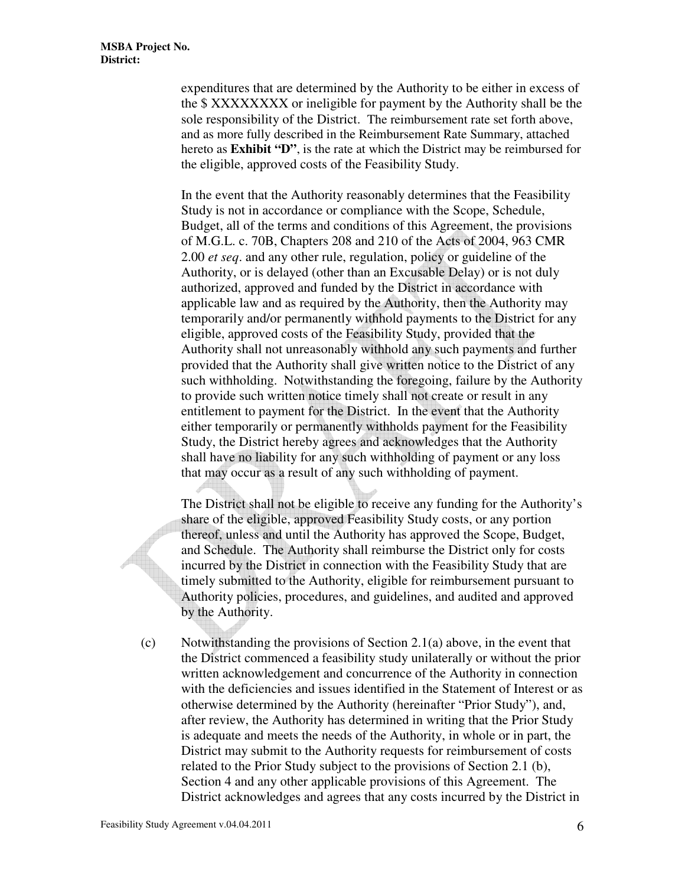expenditures that are determined by the Authority to be either in excess of the \$ XXXXXXXX or ineligible for payment by the Authority shall be the sole responsibility of the District. The reimbursement rate set forth above, and as more fully described in the Reimbursement Rate Summary, attached hereto as **Exhibit "D"**, is the rate at which the District may be reimbursed for the eligible, approved costs of the Feasibility Study.

In the event that the Authority reasonably determines that the Feasibility Study is not in accordance or compliance with the Scope, Schedule, Budget, all of the terms and conditions of this Agreement, the provisions of M.G.L. c. 70B, Chapters 208 and 210 of the Acts of 2004, 963 CMR 2.00 *et seq*. and any other rule, regulation, policy or guideline of the Authority, or is delayed (other than an Excusable Delay) or is not duly authorized, approved and funded by the District in accordance with applicable law and as required by the Authority, then the Authority may temporarily and/or permanently withhold payments to the District for any eligible, approved costs of the Feasibility Study, provided that the Authority shall not unreasonably withhold any such payments and further provided that the Authority shall give written notice to the District of any such withholding. Notwithstanding the foregoing, failure by the Authority to provide such written notice timely shall not create or result in any entitlement to payment for the District. In the event that the Authority either temporarily or permanently withholds payment for the Feasibility Study, the District hereby agrees and acknowledges that the Authority shall have no liability for any such withholding of payment or any loss that may occur as a result of any such withholding of payment.

The District shall not be eligible to receive any funding for the Authority's share of the eligible, approved Feasibility Study costs, or any portion thereof, unless and until the Authority has approved the Scope, Budget, and Schedule. The Authority shall reimburse the District only for costs incurred by the District in connection with the Feasibility Study that are timely submitted to the Authority, eligible for reimbursement pursuant to Authority policies, procedures, and guidelines, and audited and approved by the Authority.

(c) Notwithstanding the provisions of Section 2.1(a) above, in the event that the District commenced a feasibility study unilaterally or without the prior written acknowledgement and concurrence of the Authority in connection with the deficiencies and issues identified in the Statement of Interest or as otherwise determined by the Authority (hereinafter "Prior Study"), and, after review, the Authority has determined in writing that the Prior Study is adequate and meets the needs of the Authority, in whole or in part, the District may submit to the Authority requests for reimbursement of costs related to the Prior Study subject to the provisions of Section 2.1 (b), Section 4 and any other applicable provisions of this Agreement. The District acknowledges and agrees that any costs incurred by the District in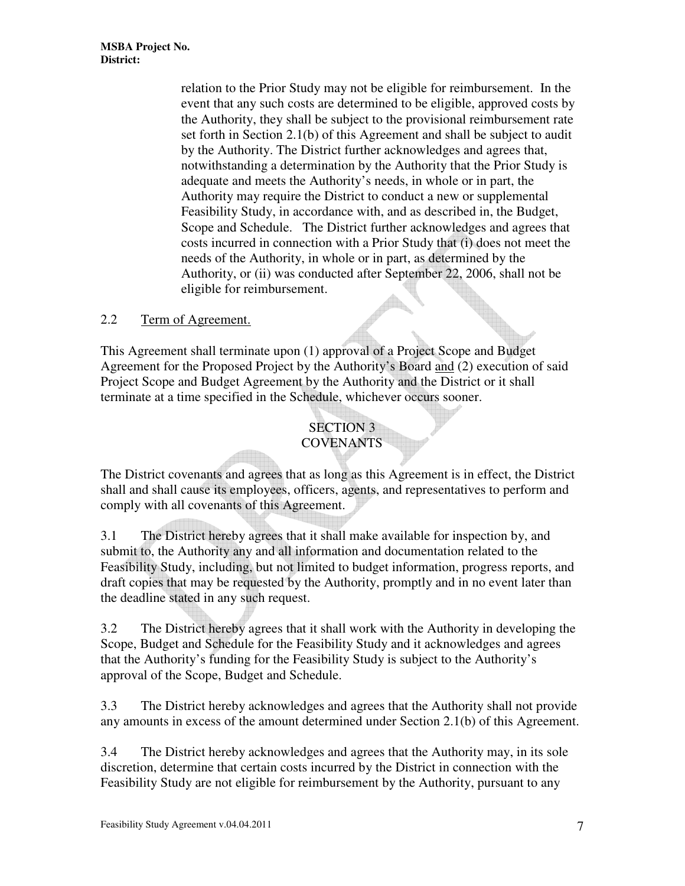relation to the Prior Study may not be eligible for reimbursement. In the event that any such costs are determined to be eligible, approved costs by the Authority, they shall be subject to the provisional reimbursement rate set forth in Section 2.1(b) of this Agreement and shall be subject to audit by the Authority. The District further acknowledges and agrees that, notwithstanding a determination by the Authority that the Prior Study is adequate and meets the Authority's needs, in whole or in part, the Authority may require the District to conduct a new or supplemental Feasibility Study, in accordance with, and as described in, the Budget, Scope and Schedule. The District further acknowledges and agrees that costs incurred in connection with a Prior Study that (i) does not meet the needs of the Authority, in whole or in part, as determined by the Authority, or (ii) was conducted after September 22, 2006, shall not be eligible for reimbursement.

## 2.2 Term of Agreement.

This Agreement shall terminate upon (1) approval of a Project Scope and Budget Agreement for the Proposed Project by the Authority's Board and (2) execution of said Project Scope and Budget Agreement by the Authority and the District or it shall terminate at a time specified in the Schedule, whichever occurs sooner.

# SECTION 3 **COVENANTS**

The District covenants and agrees that as long as this Agreement is in effect, the District shall and shall cause its employees, officers, agents, and representatives to perform and comply with all covenants of this Agreement.

3.1 The District hereby agrees that it shall make available for inspection by, and submit to, the Authority any and all information and documentation related to the Feasibility Study, including, but not limited to budget information, progress reports, and draft copies that may be requested by the Authority, promptly and in no event later than the deadline stated in any such request.

3.2 The District hereby agrees that it shall work with the Authority in developing the Scope, Budget and Schedule for the Feasibility Study and it acknowledges and agrees that the Authority's funding for the Feasibility Study is subject to the Authority's approval of the Scope, Budget and Schedule.

3.3 The District hereby acknowledges and agrees that the Authority shall not provide any amounts in excess of the amount determined under Section 2.1(b) of this Agreement.

3.4 The District hereby acknowledges and agrees that the Authority may, in its sole discretion, determine that certain costs incurred by the District in connection with the Feasibility Study are not eligible for reimbursement by the Authority, pursuant to any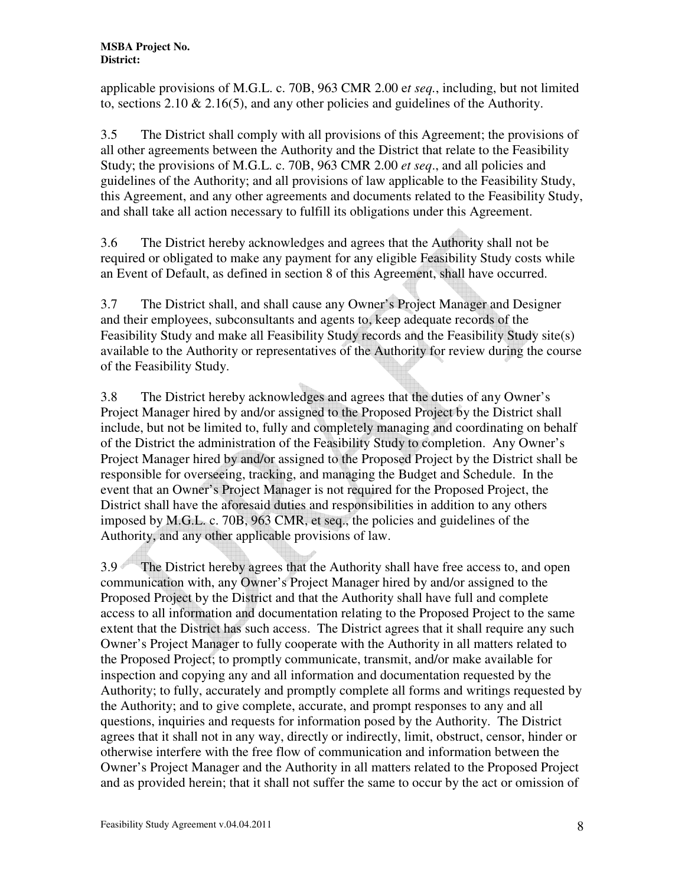applicable provisions of M.G.L. c. 70B, 963 CMR 2.00 e*t seq.*, including, but not limited to, sections  $2.10 \& 2.16(5)$ , and any other policies and guidelines of the Authority.

3.5 The District shall comply with all provisions of this Agreement; the provisions of all other agreements between the Authority and the District that relate to the Feasibility Study; the provisions of M.G.L. c. 70B, 963 CMR 2.00 *et seq*., and all policies and guidelines of the Authority; and all provisions of law applicable to the Feasibility Study, this Agreement, and any other agreements and documents related to the Feasibility Study, and shall take all action necessary to fulfill its obligations under this Agreement.

3.6 The District hereby acknowledges and agrees that the Authority shall not be required or obligated to make any payment for any eligible Feasibility Study costs while an Event of Default, as defined in section 8 of this Agreement, shall have occurred.

3.7 The District shall, and shall cause any Owner's Project Manager and Designer and their employees, subconsultants and agents to, keep adequate records of the Feasibility Study and make all Feasibility Study records and the Feasibility Study site(s) available to the Authority or representatives of the Authority for review during the course of the Feasibility Study.

3.8 The District hereby acknowledges and agrees that the duties of any Owner's Project Manager hired by and/or assigned to the Proposed Project by the District shall include, but not be limited to, fully and completely managing and coordinating on behalf of the District the administration of the Feasibility Study to completion. Any Owner's Project Manager hired by and/or assigned to the Proposed Project by the District shall be responsible for overseeing, tracking, and managing the Budget and Schedule. In the event that an Owner's Project Manager is not required for the Proposed Project, the District shall have the aforesaid duties and responsibilities in addition to any others imposed by M.G.L. c. 70B, 963 CMR, et seq., the policies and guidelines of the Authority, and any other applicable provisions of law.

3.9 The District hereby agrees that the Authority shall have free access to, and open communication with, any Owner's Project Manager hired by and/or assigned to the Proposed Project by the District and that the Authority shall have full and complete access to all information and documentation relating to the Proposed Project to the same extent that the District has such access. The District agrees that it shall require any such Owner's Project Manager to fully cooperate with the Authority in all matters related to the Proposed Project; to promptly communicate, transmit, and/or make available for inspection and copying any and all information and documentation requested by the Authority; to fully, accurately and promptly complete all forms and writings requested by the Authority; and to give complete, accurate, and prompt responses to any and all questions, inquiries and requests for information posed by the Authority. The District agrees that it shall not in any way, directly or indirectly, limit, obstruct, censor, hinder or otherwise interfere with the free flow of communication and information between the Owner's Project Manager and the Authority in all matters related to the Proposed Project and as provided herein; that it shall not suffer the same to occur by the act or omission of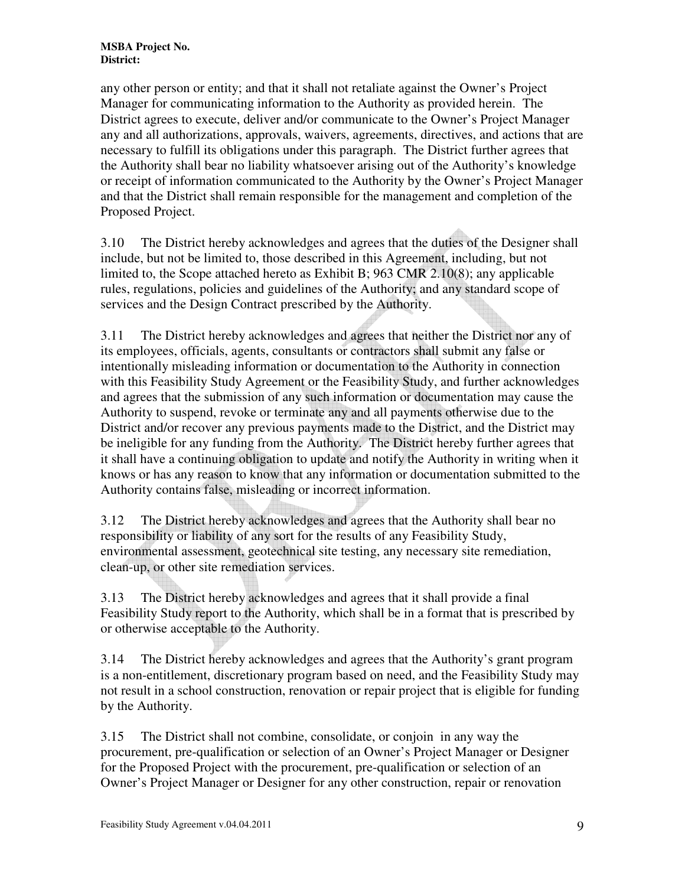any other person or entity; and that it shall not retaliate against the Owner's Project Manager for communicating information to the Authority as provided herein. The District agrees to execute, deliver and/or communicate to the Owner's Project Manager any and all authorizations, approvals, waivers, agreements, directives, and actions that are necessary to fulfill its obligations under this paragraph. The District further agrees that the Authority shall bear no liability whatsoever arising out of the Authority's knowledge or receipt of information communicated to the Authority by the Owner's Project Manager and that the District shall remain responsible for the management and completion of the Proposed Project.

3.10 The District hereby acknowledges and agrees that the duties of the Designer shall include, but not be limited to, those described in this Agreement, including, but not limited to, the Scope attached hereto as Exhibit B; 963 CMR 2.10(8); any applicable rules, regulations, policies and guidelines of the Authority; and any standard scope of services and the Design Contract prescribed by the Authority.

3.11 The District hereby acknowledges and agrees that neither the District nor any of its employees, officials, agents, consultants or contractors shall submit any false or intentionally misleading information or documentation to the Authority in connection with this Feasibility Study Agreement or the Feasibility Study, and further acknowledges and agrees that the submission of any such information or documentation may cause the Authority to suspend, revoke or terminate any and all payments otherwise due to the District and/or recover any previous payments made to the District, and the District may be ineligible for any funding from the Authority. The District hereby further agrees that it shall have a continuing obligation to update and notify the Authority in writing when it knows or has any reason to know that any information or documentation submitted to the Authority contains false, misleading or incorrect information.

3.12 The District hereby acknowledges and agrees that the Authority shall bear no responsibility or liability of any sort for the results of any Feasibility Study, environmental assessment, geotechnical site testing, any necessary site remediation, clean-up, or other site remediation services.

3.13 The District hereby acknowledges and agrees that it shall provide a final Feasibility Study report to the Authority, which shall be in a format that is prescribed by or otherwise acceptable to the Authority.

3.14 The District hereby acknowledges and agrees that the Authority's grant program is a non-entitlement, discretionary program based on need, and the Feasibility Study may not result in a school construction, renovation or repair project that is eligible for funding by the Authority.

3.15 The District shall not combine, consolidate, or conjoin in any way the procurement, pre-qualification or selection of an Owner's Project Manager or Designer for the Proposed Project with the procurement, pre-qualification or selection of an Owner's Project Manager or Designer for any other construction, repair or renovation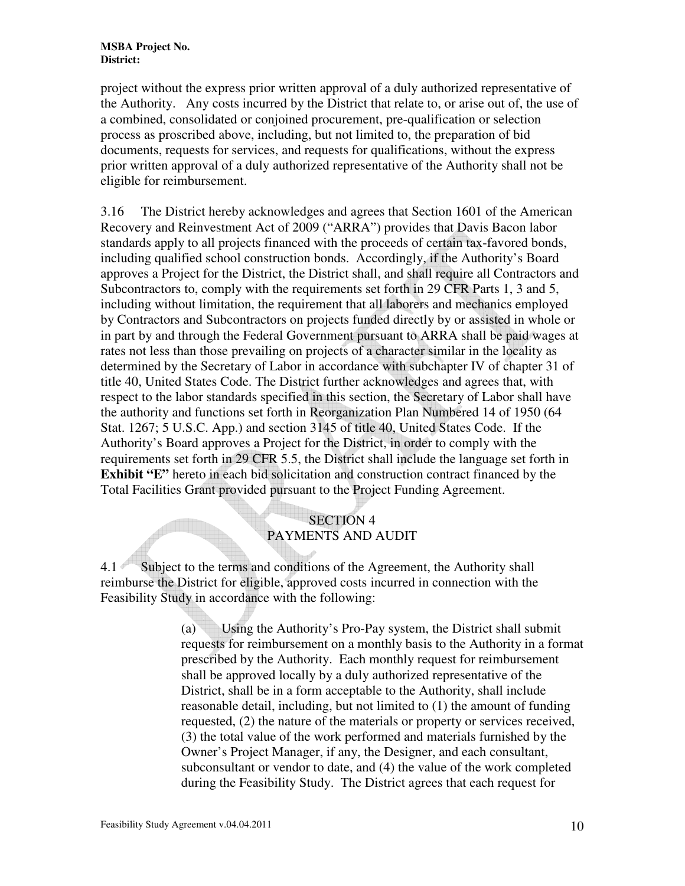project without the express prior written approval of a duly authorized representative of the Authority. Any costs incurred by the District that relate to, or arise out of, the use of a combined, consolidated or conjoined procurement, pre-qualification or selection process as proscribed above, including, but not limited to, the preparation of bid documents, requests for services, and requests for qualifications, without the express prior written approval of a duly authorized representative of the Authority shall not be eligible for reimbursement.

3.16 The District hereby acknowledges and agrees that Section 1601 of the American Recovery and Reinvestment Act of 2009 ("ARRA") provides that Davis Bacon labor standards apply to all projects financed with the proceeds of certain tax-favored bonds, including qualified school construction bonds. Accordingly, if the Authority's Board approves a Project for the District, the District shall, and shall require all Contractors and Subcontractors to, comply with the requirements set forth in 29 CFR Parts 1, 3 and 5, including without limitation, the requirement that all laborers and mechanics employed by Contractors and Subcontractors on projects funded directly by or assisted in whole or in part by and through the Federal Government pursuant to ARRA shall be paid wages at rates not less than those prevailing on projects of a character similar in the locality as determined by the Secretary of Labor in accordance with subchapter IV of chapter 31 of title 40, United States Code. The District further acknowledges and agrees that, with respect to the labor standards specified in this section, the Secretary of Labor shall have the authority and functions set forth in Reorganization Plan Numbered 14 of 1950 (64 Stat. 1267; 5 U.S.C. App.) and section 3145 of title 40, United States Code. If the Authority's Board approves a Project for the District, in order to comply with the requirements set forth in 29 CFR 5.5, the District shall include the language set forth in **Exhibit "E"** hereto in each bid solicitation and construction contract financed by the Total Facilities Grant provided pursuant to the Project Funding Agreement.

## SECTION 4 PAYMENTS AND AUDIT

4.1 Subject to the terms and conditions of the Agreement, the Authority shall reimburse the District for eligible, approved costs incurred in connection with the Feasibility Study in accordance with the following:

> (a) Using the Authority's Pro-Pay system, the District shall submit requests for reimbursement on a monthly basis to the Authority in a format prescribed by the Authority. Each monthly request for reimbursement shall be approved locally by a duly authorized representative of the District, shall be in a form acceptable to the Authority, shall include reasonable detail, including, but not limited to (1) the amount of funding requested, (2) the nature of the materials or property or services received, (3) the total value of the work performed and materials furnished by the Owner's Project Manager, if any, the Designer, and each consultant, subconsultant or vendor to date, and (4) the value of the work completed during the Feasibility Study. The District agrees that each request for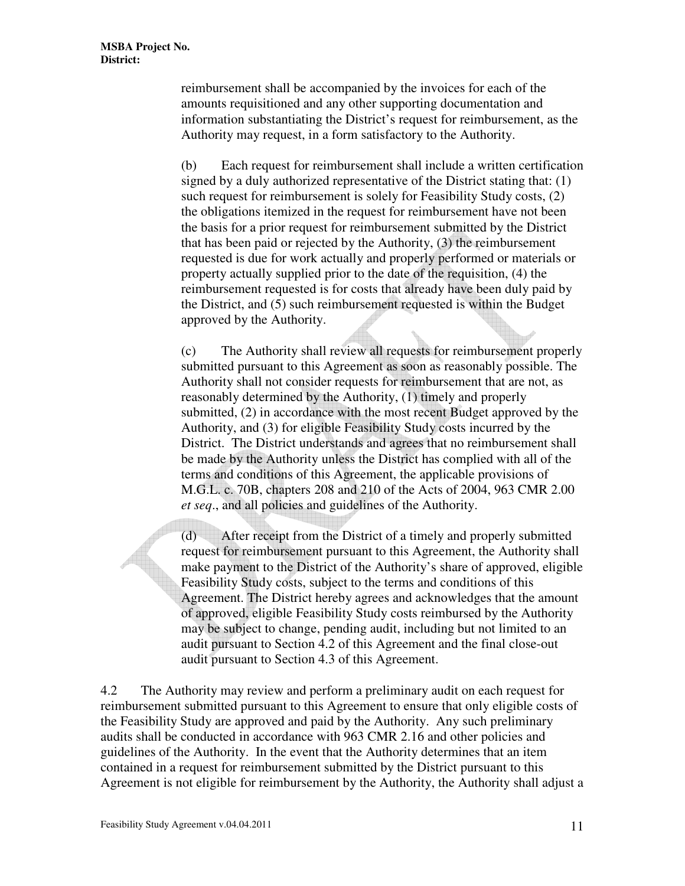reimbursement shall be accompanied by the invoices for each of the amounts requisitioned and any other supporting documentation and information substantiating the District's request for reimbursement, as the Authority may request, in a form satisfactory to the Authority.

(b) Each request for reimbursement shall include a written certification signed by a duly authorized representative of the District stating that: (1) such request for reimbursement is solely for Feasibility Study costs, (2) the obligations itemized in the request for reimbursement have not been the basis for a prior request for reimbursement submitted by the District that has been paid or rejected by the Authority, (3) the reimbursement requested is due for work actually and properly performed or materials or property actually supplied prior to the date of the requisition, (4) the reimbursement requested is for costs that already have been duly paid by the District, and (5) such reimbursement requested is within the Budget approved by the Authority.

(c) The Authority shall review all requests for reimbursement properly submitted pursuant to this Agreement as soon as reasonably possible. The Authority shall not consider requests for reimbursement that are not, as reasonably determined by the Authority, (1) timely and properly submitted, (2) in accordance with the most recent Budget approved by the Authority, and (3) for eligible Feasibility Study costs incurred by the District. The District understands and agrees that no reimbursement shall be made by the Authority unless the District has complied with all of the terms and conditions of this Agreement, the applicable provisions of M.G.L. c. 70B, chapters 208 and 210 of the Acts of 2004, 963 CMR 2.00 *et seq*., and all policies and guidelines of the Authority.

(d) After receipt from the District of a timely and properly submitted request for reimbursement pursuant to this Agreement, the Authority shall make payment to the District of the Authority's share of approved, eligible Feasibility Study costs, subject to the terms and conditions of this Agreement. The District hereby agrees and acknowledges that the amount of approved, eligible Feasibility Study costs reimbursed by the Authority may be subject to change, pending audit, including but not limited to an audit pursuant to Section 4.2 of this Agreement and the final close-out audit pursuant to Section 4.3 of this Agreement.

4.2 The Authority may review and perform a preliminary audit on each request for reimbursement submitted pursuant to this Agreement to ensure that only eligible costs of the Feasibility Study are approved and paid by the Authority. Any such preliminary audits shall be conducted in accordance with 963 CMR 2.16 and other policies and guidelines of the Authority. In the event that the Authority determines that an item contained in a request for reimbursement submitted by the District pursuant to this Agreement is not eligible for reimbursement by the Authority, the Authority shall adjust a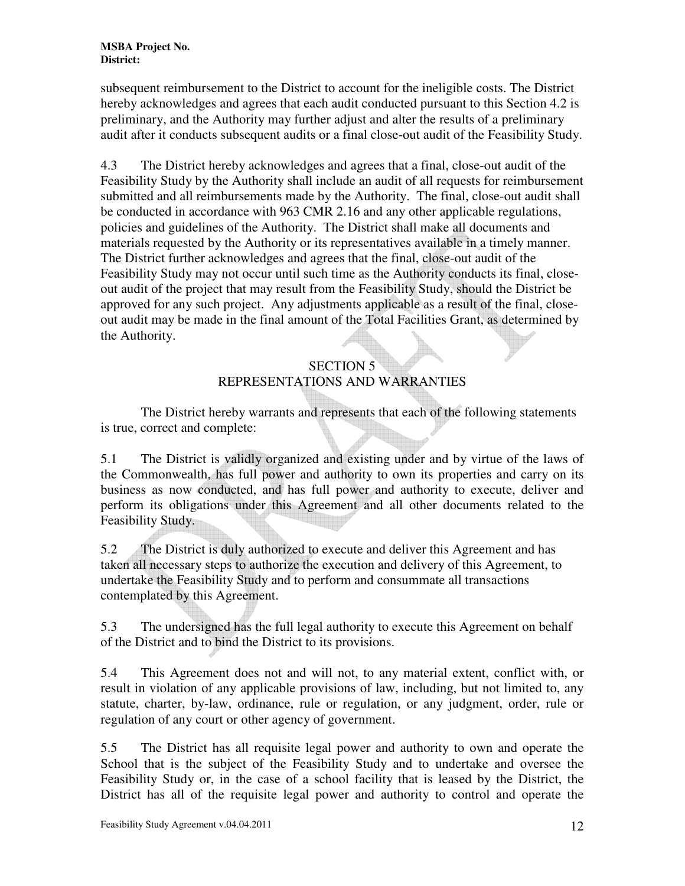subsequent reimbursement to the District to account for the ineligible costs. The District hereby acknowledges and agrees that each audit conducted pursuant to this Section 4.2 is preliminary, and the Authority may further adjust and alter the results of a preliminary audit after it conducts subsequent audits or a final close-out audit of the Feasibility Study.

4.3 The District hereby acknowledges and agrees that a final, close-out audit of the Feasibility Study by the Authority shall include an audit of all requests for reimbursement submitted and all reimbursements made by the Authority. The final, close-out audit shall be conducted in accordance with 963 CMR 2.16 and any other applicable regulations, policies and guidelines of the Authority. The District shall make all documents and materials requested by the Authority or its representatives available in a timely manner. The District further acknowledges and agrees that the final, close-out audit of the Feasibility Study may not occur until such time as the Authority conducts its final, closeout audit of the project that may result from the Feasibility Study, should the District be approved for any such project. Any adjustments applicable as a result of the final, closeout audit may be made in the final amount of the Total Facilities Grant, as determined by the Authority.

# SECTION 5 REPRESENTATIONS AND WARRANTIES

 The District hereby warrants and represents that each of the following statements is true, correct and complete:

5.1 The District is validly organized and existing under and by virtue of the laws of the Commonwealth, has full power and authority to own its properties and carry on its business as now conducted, and has full power and authority to execute, deliver and perform its obligations under this Agreement and all other documents related to the Feasibility Study.

5.2 The District is duly authorized to execute and deliver this Agreement and has taken all necessary steps to authorize the execution and delivery of this Agreement, to undertake the Feasibility Study and to perform and consummate all transactions contemplated by this Agreement.

5.3 The undersigned has the full legal authority to execute this Agreement on behalf of the District and to bind the District to its provisions.

5.4 This Agreement does not and will not, to any material extent, conflict with, or result in violation of any applicable provisions of law, including, but not limited to, any statute, charter, by-law, ordinance, rule or regulation, or any judgment, order, rule or regulation of any court or other agency of government.

5.5 The District has all requisite legal power and authority to own and operate the School that is the subject of the Feasibility Study and to undertake and oversee the Feasibility Study or, in the case of a school facility that is leased by the District, the District has all of the requisite legal power and authority to control and operate the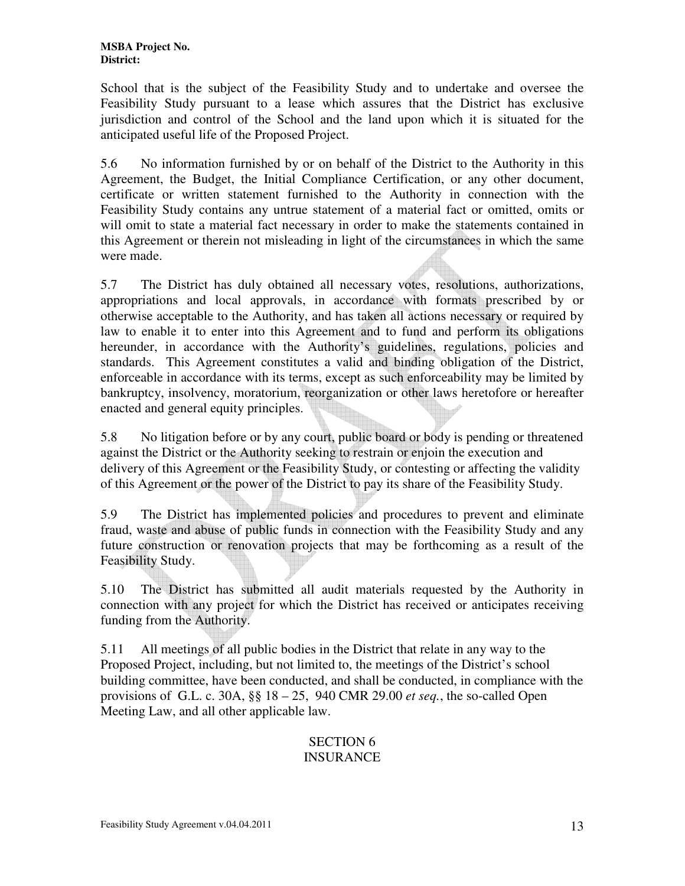School that is the subject of the Feasibility Study and to undertake and oversee the Feasibility Study pursuant to a lease which assures that the District has exclusive jurisdiction and control of the School and the land upon which it is situated for the anticipated useful life of the Proposed Project.

5.6 No information furnished by or on behalf of the District to the Authority in this Agreement, the Budget, the Initial Compliance Certification, or any other document, certificate or written statement furnished to the Authority in connection with the Feasibility Study contains any untrue statement of a material fact or omitted, omits or will omit to state a material fact necessary in order to make the statements contained in this Agreement or therein not misleading in light of the circumstances in which the same were made.

5.7 The District has duly obtained all necessary votes, resolutions, authorizations, appropriations and local approvals, in accordance with formats prescribed by or otherwise acceptable to the Authority, and has taken all actions necessary or required by law to enable it to enter into this Agreement and to fund and perform its obligations hereunder, in accordance with the Authority's guidelines, regulations, policies and standards. This Agreement constitutes a valid and binding obligation of the District, enforceable in accordance with its terms, except as such enforceability may be limited by bankruptcy, insolvency, moratorium, reorganization or other laws heretofore or hereafter enacted and general equity principles.

5.8 No litigation before or by any court, public board or body is pending or threatened against the District or the Authority seeking to restrain or enjoin the execution and delivery of this Agreement or the Feasibility Study, or contesting or affecting the validity of this Agreement or the power of the District to pay its share of the Feasibility Study.

5.9 The District has implemented policies and procedures to prevent and eliminate fraud, waste and abuse of public funds in connection with the Feasibility Study and any future construction or renovation projects that may be forthcoming as a result of the Feasibility Study.

5.10 The District has submitted all audit materials requested by the Authority in connection with any project for which the District has received or anticipates receiving funding from the Authority.

5.11 All meetings of all public bodies in the District that relate in any way to the Proposed Project, including, but not limited to, the meetings of the District's school building committee, have been conducted, and shall be conducted, in compliance with the provisions of G.L. c. 30A, §§ 18 – 25, 940 CMR 29.00 *et seq.*, the so-called Open Meeting Law, and all other applicable law.

### SECTION 6 INSURANCE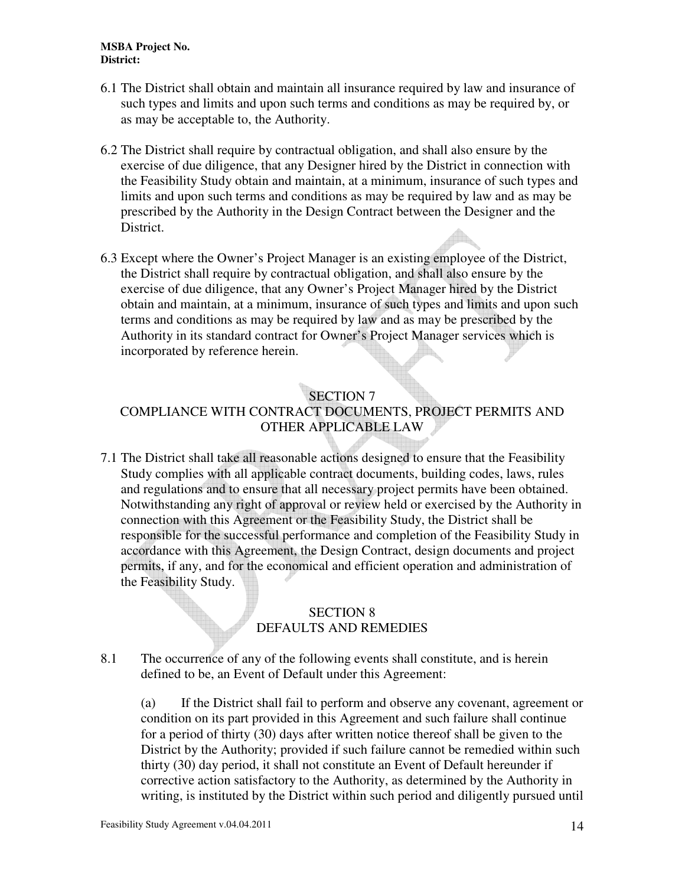- 6.1 The District shall obtain and maintain all insurance required by law and insurance of such types and limits and upon such terms and conditions as may be required by, or as may be acceptable to, the Authority.
- 6.2 The District shall require by contractual obligation, and shall also ensure by the exercise of due diligence, that any Designer hired by the District in connection with the Feasibility Study obtain and maintain, at a minimum, insurance of such types and limits and upon such terms and conditions as may be required by law and as may be prescribed by the Authority in the Design Contract between the Designer and the District.
- 6.3 Except where the Owner's Project Manager is an existing employee of the District, the District shall require by contractual obligation, and shall also ensure by the exercise of due diligence, that any Owner's Project Manager hired by the District obtain and maintain, at a minimum, insurance of such types and limits and upon such terms and conditions as may be required by law and as may be prescribed by the Authority in its standard contract for Owner's Project Manager services which is incorporated by reference herein.

### SECTION 7

## COMPLIANCE WITH CONTRACT DOCUMENTS, PROJECT PERMITS AND OTHER APPLICABLE LAW

7.1 The District shall take all reasonable actions designed to ensure that the Feasibility Study complies with all applicable contract documents, building codes, laws, rules and regulations and to ensure that all necessary project permits have been obtained. Notwithstanding any right of approval or review held or exercised by the Authority in connection with this Agreement or the Feasibility Study, the District shall be responsible for the successful performance and completion of the Feasibility Study in accordance with this Agreement, the Design Contract, design documents and project permits, if any, and for the economical and efficient operation and administration of the Feasibility Study.

### SECTION 8 DEFAULTS AND REMEDIES

8.1 The occurrence of any of the following events shall constitute, and is herein defined to be, an Event of Default under this Agreement:

(a) If the District shall fail to perform and observe any covenant, agreement or condition on its part provided in this Agreement and such failure shall continue for a period of thirty (30) days after written notice thereof shall be given to the District by the Authority; provided if such failure cannot be remedied within such thirty (30) day period, it shall not constitute an Event of Default hereunder if corrective action satisfactory to the Authority, as determined by the Authority in writing, is instituted by the District within such period and diligently pursued until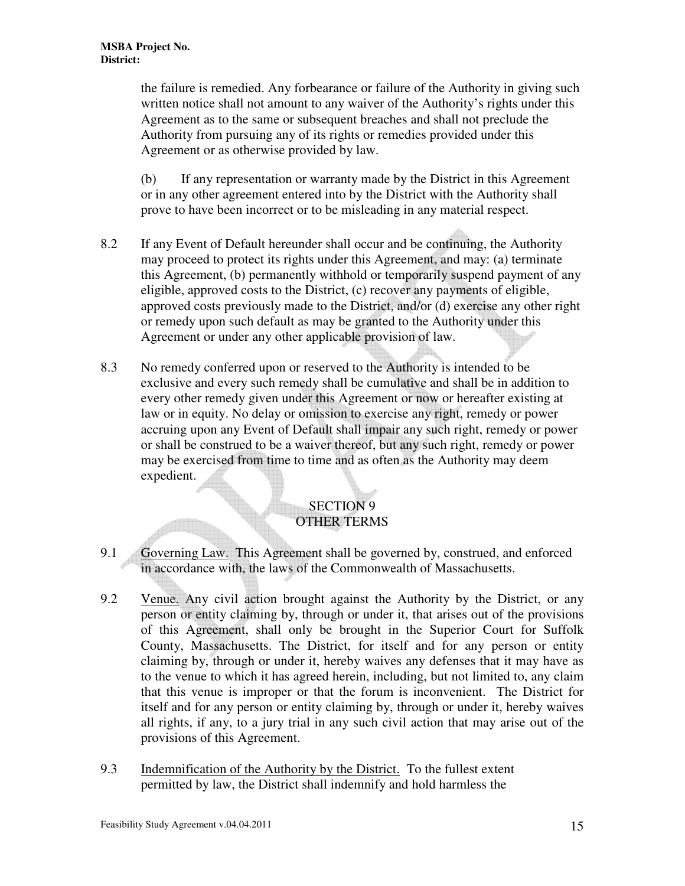the failure is remedied. Any forbearance or failure of the Authority in giving such written notice shall not amount to any waiver of the Authority's rights under this Agreement as to the same or subsequent breaches and shall not preclude the Authority from pursuing any of its rights or remedies provided under this Agreement or as otherwise provided by law.

(b) If any representation or warranty made by the District in this Agreement or in any other agreement entered into by the District with the Authority shall prove to have been incorrect or to be misleading in any material respect.

- 8.2 If any Event of Default hereunder shall occur and be continuing, the Authority may proceed to protect its rights under this Agreement, and may: (a) terminate this Agreement, (b) permanently withhold or temporarily suspend payment of any eligible, approved costs to the District, (c) recover any payments of eligible, approved costs previously made to the District, and/or (d) exercise any other right or remedy upon such default as may be granted to the Authority under this Agreement or under any other applicable provision of law.
- 8.3 No remedy conferred upon or reserved to the Authority is intended to be exclusive and every such remedy shall be cumulative and shall be in addition to every other remedy given under this Agreement or now or hereafter existing at law or in equity. No delay or omission to exercise any right, remedy or power accruing upon any Event of Default shall impair any such right, remedy or power or shall be construed to be a waiver thereof, but any such right, remedy or power may be exercised from time to time and as often as the Authority may deem expedient.

#### SECTION 9 OTHER TERMS

- 9.1 Governing Law. This Agreement shall be governed by, construed, and enforced in accordance with, the laws of the Commonwealth of Massachusetts.
- 9.2 Venue. Any civil action brought against the Authority by the District, or any person or entity claiming by, through or under it, that arises out of the provisions of this Agreement, shall only be brought in the Superior Court for Suffolk County, Massachusetts. The District, for itself and for any person or entity claiming by, through or under it, hereby waives any defenses that it may have as to the venue to which it has agreed herein, including, but not limited to, any claim that this venue is improper or that the forum is inconvenient. The District for itself and for any person or entity claiming by, through or under it, hereby waives all rights, if any, to a jury trial in any such civil action that may arise out of the provisions of this Agreement.
- 9.3 Indemnification of the Authority by the District. To the fullest extent permitted by law, the District shall indemnify and hold harmless the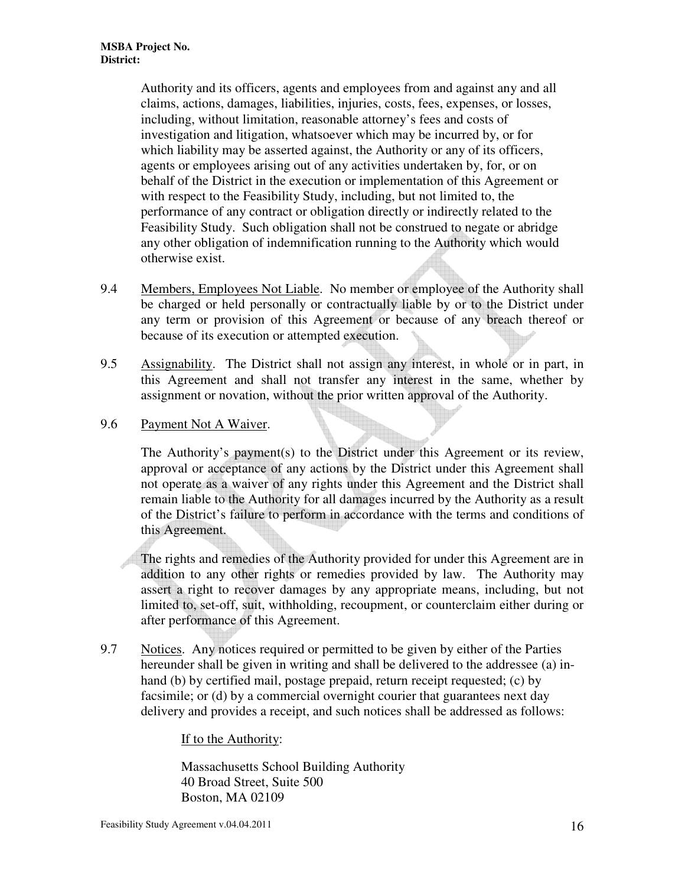Authority and its officers, agents and employees from and against any and all claims, actions, damages, liabilities, injuries, costs, fees, expenses, or losses, including, without limitation, reasonable attorney's fees and costs of investigation and litigation, whatsoever which may be incurred by, or for which liability may be asserted against, the Authority or any of its officers, agents or employees arising out of any activities undertaken by, for, or on behalf of the District in the execution or implementation of this Agreement or with respect to the Feasibility Study, including, but not limited to, the performance of any contract or obligation directly or indirectly related to the Feasibility Study. Such obligation shall not be construed to negate or abridge any other obligation of indemnification running to the Authority which would otherwise exist.

- 9.4 Members, Employees Not Liable. No member or employee of the Authority shall be charged or held personally or contractually liable by or to the District under any term or provision of this Agreement or because of any breach thereof or because of its execution or attempted execution.
- 9.5 Assignability. The District shall not assign any interest, in whole or in part, in this Agreement and shall not transfer any interest in the same, whether by assignment or novation, without the prior written approval of the Authority.
- 9.6 Payment Not A Waiver.

The Authority's payment(s) to the District under this Agreement or its review, approval or acceptance of any actions by the District under this Agreement shall not operate as a waiver of any rights under this Agreement and the District shall remain liable to the Authority for all damages incurred by the Authority as a result of the District's failure to perform in accordance with the terms and conditions of this Agreement.

The rights and remedies of the Authority provided for under this Agreement are in addition to any other rights or remedies provided by law. The Authority may assert a right to recover damages by any appropriate means, including, but not limited to, set-off, suit, withholding, recoupment, or counterclaim either during or after performance of this Agreement.

9.7 Notices. Any notices required or permitted to be given by either of the Parties hereunder shall be given in writing and shall be delivered to the addressee (a) inhand (b) by certified mail, postage prepaid, return receipt requested; (c) by facsimile; or (d) by a commercial overnight courier that guarantees next day delivery and provides a receipt, and such notices shall be addressed as follows:

#### If to the Authority:

Massachusetts School Building Authority 40 Broad Street, Suite 500 Boston, MA 02109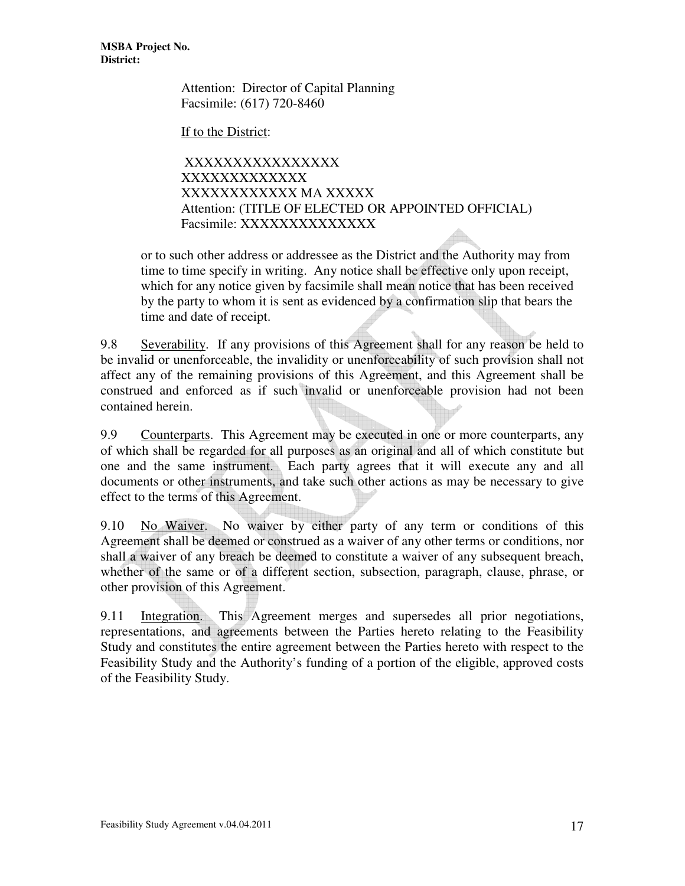> Attention: Director of Capital Planning Facsimile: (617) 720-8460

If to the District:

 XXXXXXXXXXXXXXXX XXXXXXXXXXXXX XXXXXXXXXXXX MA XXXXX Attention: (TITLE OF ELECTED OR APPOINTED OFFICIAL) Facsimile: XXXXXXXXXXXXXX

or to such other address or addressee as the District and the Authority may from time to time specify in writing. Any notice shall be effective only upon receipt, which for any notice given by facsimile shall mean notice that has been received by the party to whom it is sent as evidenced by a confirmation slip that bears the time and date of receipt.

9.8 Severability. If any provisions of this Agreement shall for any reason be held to be invalid or unenforceable, the invalidity or unenforceability of such provision shall not affect any of the remaining provisions of this Agreement, and this Agreement shall be construed and enforced as if such invalid or unenforceable provision had not been contained herein.

9.9 Counterparts. This Agreement may be executed in one or more counterparts, any of which shall be regarded for all purposes as an original and all of which constitute but one and the same instrument. Each party agrees that it will execute any and all documents or other instruments, and take such other actions as may be necessary to give effect to the terms of this Agreement.

9.10 No Waiver. No waiver by either party of any term or conditions of this Agreement shall be deemed or construed as a waiver of any other terms or conditions, nor shall a waiver of any breach be deemed to constitute a waiver of any subsequent breach, whether of the same or of a different section, subsection, paragraph, clause, phrase, or other provision of this Agreement.

9.11 Integration. This Agreement merges and supersedes all prior negotiations, representations, and agreements between the Parties hereto relating to the Feasibility Study and constitutes the entire agreement between the Parties hereto with respect to the Feasibility Study and the Authority's funding of a portion of the eligible, approved costs of the Feasibility Study.